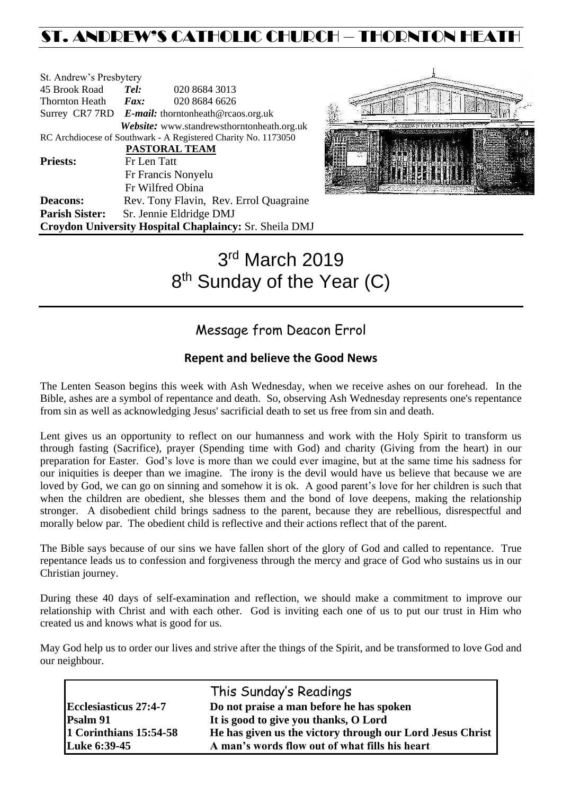## ST. ANDREW'S CATHOLIC CHURCH – THORNTON HEAT

| St. Andrew's Presbytery |                                                   |                                                                |  |
|-------------------------|---------------------------------------------------|----------------------------------------------------------------|--|
| 45 Brook Road           | Tel:                                              | 020 8684 3013                                                  |  |
| Thornton Heath          | Fax:                                              | 020 8684 6626                                                  |  |
|                         | Surrey CR7 7RD E-mail: thorntonheath@rcaos.org.uk |                                                                |  |
|                         |                                                   | Website: www.standrewsthorntonheath.org.uk                     |  |
|                         |                                                   | RC Archdiocese of Southwark - A Registered Charity No. 1173050 |  |
|                         |                                                   | <b>PASTORAL TEAM</b>                                           |  |
| <b>Priests:</b>         | Fr Len Tatt                                       |                                                                |  |
|                         |                                                   | Fr Francis Nonyelu                                             |  |
|                         |                                                   | Fr Wilfred Obina                                               |  |
| <b>Deacons:</b>         |                                                   | Rev. Tony Flavin, Rev. Errol Quagraine                         |  |
| <b>Parish Sister:</b>   |                                                   | Sr. Jennie Eldridge DMJ                                        |  |
|                         |                                                   | Croydon University Hospital Chaplaincy: Sr. Sheila DMJ         |  |



# 3 rd March 2019 8<sup>th</sup> Sunday of the Year (C)

## Message from Deacon Errol

### **Repent and believe the Good News**

The Lenten Season begins this week with Ash Wednesday, when we receive ashes on our forehead. In the Bible, ashes are a symbol of repentance and death. So, observing Ash Wednesday represents one's repentance from sin as well as acknowledging Jesus' sacrificial death to set us free from sin and death.

Lent gives us an opportunity to reflect on our humanness and work with the Holy Spirit to transform us through fasting (Sacrifice), prayer (Spending time with God) and charity (Giving from the heart) in our preparation for Easter. God's love is more than we could ever imagine, but at the same time his sadness for our iniquities is deeper than we imagine. The irony is the devil would have us believe that because we are loved by God, we can go on sinning and somehow it is ok. A good parent's love for her children is such that when the children are obedient, she blesses them and the bond of love deepens, making the relationship stronger. A disobedient child brings sadness to the parent, because they are rebellious, disrespectful and morally below par. The obedient child is reflective and their actions reflect that of the parent.

The Bible says because of our sins we have fallen short of the glory of God and called to repentance. True repentance leads us to confession and forgiveness through the mercy and grace of God who sustains us in our Christian journey.

During these 40 days of self-examination and reflection, we should make a commitment to improve our relationship with Christ and with each other. God is inviting each one of us to put our trust in Him who created us and knows what is good for us.

May God help us to order our lives and strive after the things of the Spirit, and be transformed to love God and our neighbour.

|                              | This Sunday's Readings                                    |
|------------------------------|-----------------------------------------------------------|
| <b>Ecclesiasticus 27:4-7</b> | Do not praise a man before he has spoken                  |
| <b>Psalm 91</b>              | It is good to give you thanks, O Lord                     |
| 1 Corinthians 15:54-58       | He has given us the victory through our Lord Jesus Christ |
| Luke 6:39-45                 | A man's words flow out of what fills his heart            |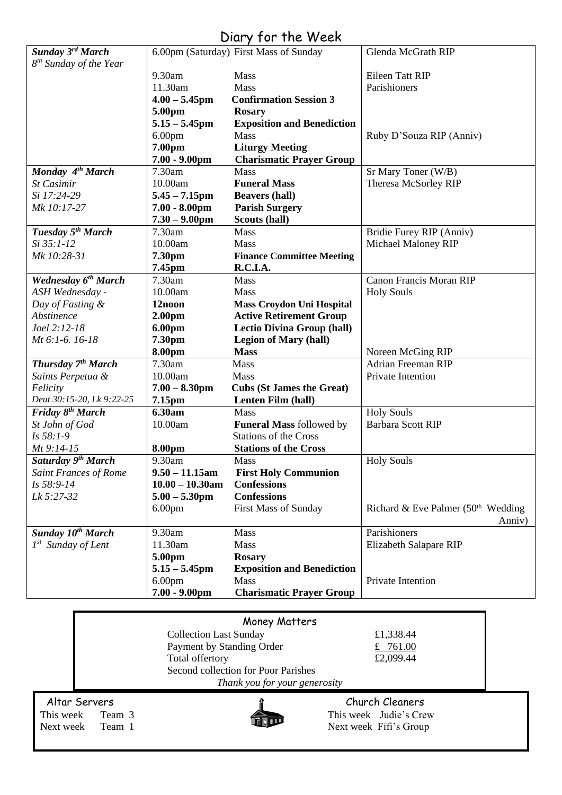## Diary for the Week

|                                            | 11.30am<br>$4.00 - 5.45$ pm            | Mass<br><b>Confirmation Session 3</b>    | Parishioners                                |
|--------------------------------------------|----------------------------------------|------------------------------------------|---------------------------------------------|
|                                            | 5.00pm                                 | <b>Rosary</b>                            |                                             |
|                                            | $5.15 - 5.45$ pm                       | <b>Exposition and Benediction</b>        |                                             |
|                                            | 6.00 <sub>pm</sub>                     | <b>Mass</b>                              | Ruby D'Souza RIP (Anniv)                    |
|                                            | 7.00pm                                 | <b>Liturgy Meeting</b>                   |                                             |
|                                            | $7.00 - 9.00$ pm                       | <b>Charismatic Prayer Group</b>          |                                             |
| Monday 4 <sup>th</sup> March<br>St Casimir | 7.30am<br>10.00am                      | Mass<br><b>Funeral Mass</b>              | Sr Mary Toner (W/B)<br>Theresa McSorley RIP |
| Si 17:24-29                                | $5.45 - 7.15$ pm                       | <b>Beavers (hall)</b>                    |                                             |
| Mk 10:17-27                                | $7.00 - 8.00$ pm                       | <b>Parish Surgery</b>                    |                                             |
|                                            | $7.30 - 9.00$ pm                       | Scouts (hall)                            |                                             |
| Tuesday 5 <sup>th</sup> March              | 7.30am                                 | Mass                                     | Bridie Furey RIP (Anniv)                    |
| Si 35:1-12                                 | 10.00am                                | Mass                                     | Michael Maloney RIP                         |
| Mk 10:28-31                                | 7.30pm                                 | <b>Finance Committee Meeting</b>         |                                             |
| Wednesday 6 <sup>th</sup> March            | 7.45pm<br>7.30am                       | R.C.I.A.<br>Mass                         | <b>Canon Francis Moran RIP</b>              |
| ASH Wednesday -                            | 10.00am                                | Mass                                     | <b>Holy Souls</b>                           |
| Day of Fasting &                           | 12noon                                 | <b>Mass Croydon Uni Hospital</b>         |                                             |
| Abstinence                                 | 2.00 <sub>pm</sub>                     | <b>Active Retirement Group</b>           |                                             |
| Joel 2:12-18                               | 6.00pm                                 | <b>Lectio Divina Group (hall)</b>        |                                             |
| Mt 6:1-6. 16-18                            | 7.30pm                                 | <b>Legion of Mary (hall)</b>             |                                             |
|                                            | 8.00pm                                 | <b>Mass</b>                              | Noreen McGing RIP                           |
| Thursday 7 <sup>th</sup> March             | 7.30am                                 | Mass                                     | <b>Adrian Freeman RIP</b>                   |
| Saints Perpetua &<br>Felicity              | 10.00am<br>$7.00 - 8.30$ pm            | Mass<br><b>Cubs (St James the Great)</b> | Private Intention                           |
| Deut 30:15-20, Lk 9:22-25                  | 7.15pm                                 | Lenten Film (hall)                       |                                             |
| Friday 8 <sup>th</sup> March               | 6.30am                                 | Mass                                     | <b>Holy Souls</b>                           |
| St John of God                             | 10.00am                                | <b>Funeral Mass followed by</b>          | <b>Barbara Scott RIP</b>                    |
|                                            |                                        | <b>Stations of the Cross</b>             |                                             |
| Is 58:1-9                                  |                                        | <b>Stations of the Cross</b>             |                                             |
| Mt 9:14-15                                 | 8.00pm                                 |                                          |                                             |
| Saturday 9 <sup>th</sup> March             | 9.30am                                 | <b>Mass</b>                              | <b>Holy Souls</b>                           |
| <b>Saint Frances of Rome</b>               | $9.50 - 11.15$ am                      | <b>First Holy Communion</b>              |                                             |
| Is 58:9-14                                 | $10.00 - 10.30$ am                     | <b>Confessions</b>                       |                                             |
| Lk 5:27-32                                 | $5.00 - 5.30$ pm                       | <b>Confessions</b>                       |                                             |
|                                            | 6.00 <sub>pm</sub>                     | <b>First Mass of Sunday</b>              | Richard & Eve Palmer $(50th$ Wedding        |
| Sunday 10th March                          | 9.30am                                 | Mass                                     | Anniv)<br>Parishioners                      |
| $1^{st}$ Sunday of Lent                    | 11.30am                                | Mass                                     | Elizabeth Salapare RIP                      |
|                                            | 5.00pm                                 | <b>Rosary</b>                            |                                             |
|                                            | $5.15 - 5.45$ pm                       | <b>Exposition and Benediction</b>        |                                             |
|                                            | 6.00 <sub>pm</sub><br>$7.00 - 9.00$ pm | Mass<br><b>Charismatic Prayer Group</b>  | Private Intention                           |

| <b>Money Matters</b>          |                                     |                        |  |  |  |  |
|-------------------------------|-------------------------------------|------------------------|--|--|--|--|
|                               | <b>Collection Last Sunday</b>       | £1,338.44              |  |  |  |  |
|                               | Payment by Standing Order           | £ $761.00$             |  |  |  |  |
|                               | Total offertory                     | £2,099.44              |  |  |  |  |
|                               | Second collection for Poor Parishes |                        |  |  |  |  |
| Thank you for your generosity |                                     |                        |  |  |  |  |
| Altar Servers                 |                                     | Church Cleaners        |  |  |  |  |
| This week<br>Team 3           |                                     | This week Judie's Crew |  |  |  |  |
| Next week Team 1              |                                     | Next week Fifi's Group |  |  |  |  |
|                               |                                     |                        |  |  |  |  |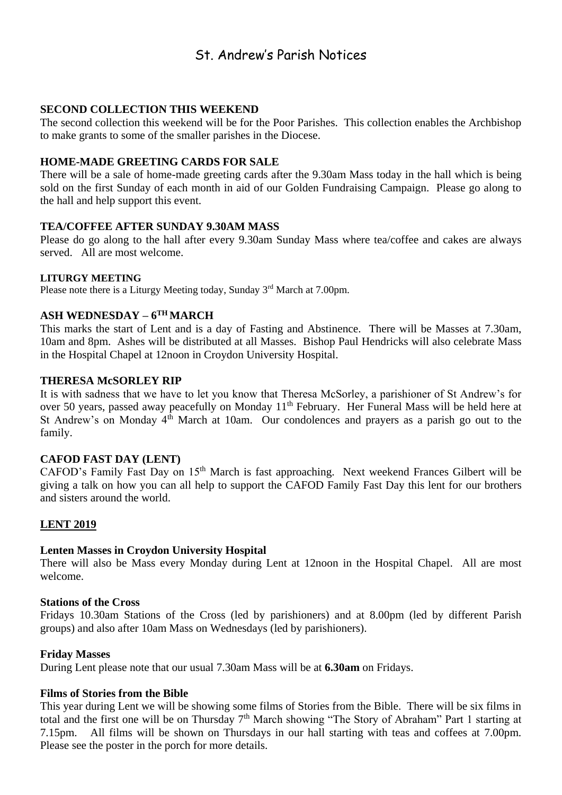## St. Andrew's Parish Notices

#### **SECOND COLLECTION THIS WEEKEND**

The second collection this weekend will be for the Poor Parishes. This collection enables the Archbishop to make grants to some of the smaller parishes in the Diocese.

#### **HOME-MADE GREETING CARDS FOR SALE**

There will be a sale of home-made greeting cards after the 9.30am Mass today in the hall which is being sold on the first Sunday of each month in aid of our Golden Fundraising Campaign. Please go along to the hall and help support this event.

#### **TEA/COFFEE AFTER SUNDAY 9.30AM MASS**

Please do go along to the hall after every 9.30am Sunday Mass where tea/coffee and cakes are always served. All are most welcome.

#### **LITURGY MEETING**

Please note there is a Liturgy Meeting today, Sunday 3<sup>rd</sup> March at 7.00pm.

#### **ASH WEDNESDAY – 6 TH MARCH**

This marks the start of Lent and is a day of Fasting and Abstinence. There will be Masses at 7.30am, 10am and 8pm. Ashes will be distributed at all Masses. Bishop Paul Hendricks will also celebrate Mass in the Hospital Chapel at 12noon in Croydon University Hospital.

#### **THERESA McSORLEY RIP**

It is with sadness that we have to let you know that Theresa McSorley, a parishioner of St Andrew's for over 50 years, passed away peacefully on Monday 11<sup>th</sup> February. Her Funeral Mass will be held here at St Andrew's on Monday 4<sup>th</sup> March at 10am. Our condolences and prayers as a parish go out to the family.

#### **CAFOD FAST DAY (LENT)**

CAFOD's Family Fast Day on 15<sup>th</sup> March is fast approaching. Next weekend Frances Gilbert will be giving a talk on how you can all help to support the CAFOD Family Fast Day this lent for our brothers and sisters around the world.

#### **LENT 2019**

#### **Lenten Masses in Croydon University Hospital**

There will also be Mass every Monday during Lent at 12noon in the Hospital Chapel. All are most welcome.

#### **Stations of the Cross**

Fridays 10.30am Stations of the Cross (led by parishioners) and at 8.00pm (led by different Parish groups) and also after 10am Mass on Wednesdays (led by parishioners).

#### **Friday Masses**

During Lent please note that our usual 7.30am Mass will be at **6.30am** on Fridays.

#### **Films of Stories from the Bible**

This year during Lent we will be showing some films of Stories from the Bible. There will be six films in total and the first one will be on Thursday 7<sup>th</sup> March showing "The Story of Abraham" Part 1 starting at 7.15pm. All films will be shown on Thursdays in our hall starting with teas and coffees at 7.00pm. Please see the poster in the porch for more details.